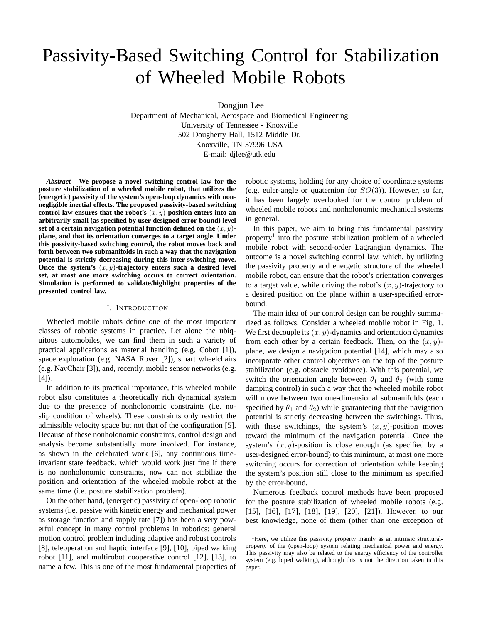# Passivity-Based Switching Control for Stabilization of Wheeled Mobile Robots

Dongjun Lee

Department of Mechanical, Aerospace and Biomedical Engineering University of Tennessee - Knoxville 502 Dougherty Hall, 1512 Middle Dr. Knoxville, TN 37996 USA E-mail: djlee@utk.edu

*Abstract***— We propose a novel switching control law for the posture stabilization of a wheeled mobile robot, that utilizes the (energetic) passivity of the system's open-loop dynamics with nonnegligible inertial effects. The proposed passivity-based switching** control law ensures that the robot's  $(x, y)$ -position enters into an **arbitrarily small (as specified by user-designed error-bound) level set of a certain navigation potential function defined on the**  $(x, y)$ **plane, and that its orientation converges to a target angle. Under this passivity-based switching control, the robot moves back and forth between two submanifolds in such a way that the navigation potential is strictly decreasing during this inter-switching move.** Once the system's  $(x, y)$ -trajectory enters such a desired level **set, at most one more switching occurs to correct orientation. Simulation is performed to validate/highlight properties of the presented control law.**

## I. INTRODUCTION

Wheeled mobile robots define one of the most important classes of robotic systems in practice. Let alone the ubiquitous automobiles, we can find them in such a variety of practical applications as material handling (e.g. Cobot [1]), space exploration (e.g. NASA Rover [2]), smart wheelchairs (e.g. NavChair [3]), and, recently, mobile sensor networks (e.g.  $[4]$ ).

In addition to its practical importance, this wheeled mobile robot also constitutes a theoretically rich dynamical system due to the presence of nonholonomic constraints (i.e. noslip condition of wheels). These constraints only restrict the admissible velocity space but not that of the configuration [5]. Because of these nonholonomic constraints, control design and analysis become substantially more involved. For instance, as shown in the celebrated work [6], any continuous timeinvariant state feedback, which would work just fine if there is no nonholonomic constraints, now can not stabilize the position and orientation of the wheeled mobile robot at the same time (i.e. posture stabilization problem).

On the other hand, (energetic) passivity of open-loop robotic systems (i.e. passive with kinetic energy and mechanical power as storage function and supply rate [7]) has been a very powerful concept in many control problems in robotics: general motion control problem including adaptive and robust controls [8], teleoperation and haptic interface [9], [10], biped walking robot [11], and multirobot cooperative control [12], [13], to name a few. This is one of the most fundamental properties of robotic systems, holding for any choice of coordinate systems (e.g. euler-angle or quaternion for  $SO(3)$ ). However, so far, it has been largely overlooked for the control problem of wheeled mobile robots and nonholonomic mechanical systems in general.

In this paper, we aim to bring this fundamental passivity property<sup>1</sup> into the posture stabilization problem of a wheeled mobile robot with second-order Lagrangian dynamics. The outcome is a novel switching control law, which, by utilizing the passivity property and energetic structure of the wheeled mobile robot, can ensure that the robot's orientation converges to a target value, while driving the robot's  $(x, y)$ -trajectory to a desired position on the plane within a user-specified errorbound.

The main idea of our control design can be roughly summarized as follows. Consider a wheeled mobile robot in Fig, 1. We first decouple its  $(x, y)$ -dynamics and orientation dynamics from each other by a certain feedback. Then, on the  $(x, y)$ plane, we design a navigation potential [14], which may also incorporate other control objectives on the top of the posture stabilization (e.g. obstacle avoidance). With this potential, we switch the orientation angle between  $\theta_1$  and  $\theta_2$  (with some damping control) in such a way that the wheeled mobile robot will move between two one-dimensional submanifolds (each specified by  $\theta_1$  and  $\theta_2$ ) while guaranteeing that the navigation potential is strictly decreasing between the switchings. Thus, with these switchings, the system's  $(x, y)$ -position moves toward the minimum of the navigation potential. Once the system's  $(x, y)$ -position is close enough (as specified by a user-designed error-bound) to this minimum, at most one more switching occurs for correction of orientation while keeping the system's position still close to the minimum as specified by the error-bound.

Numerous feedback control methods have been proposed for the posture stabilization of wheeled mobile robots (e.g. [15], [16], [17], [18], [19], [20], [21]). However, to our best knowledge, none of them (other than one exception of

<sup>&</sup>lt;sup>1</sup>Here, we utilize this passivity property mainly as an intrinsic structuralproperty of the (open-loop) system relating mechanical power and energy. This passivity may also be related to the energy efficiency of the controller system (e.g. biped walking), although this is not the direction taken in this paper.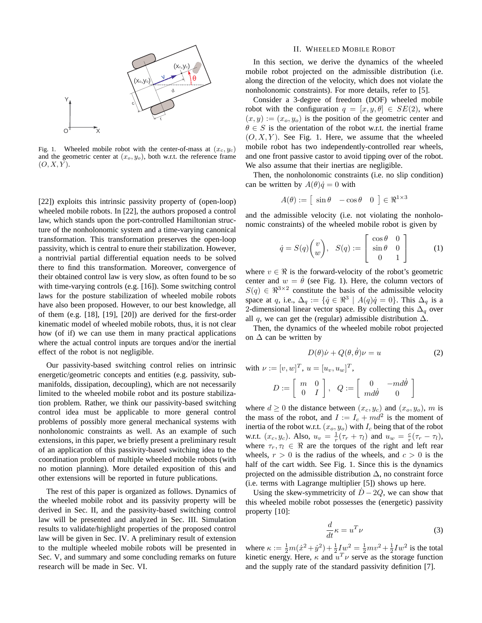

Fig. 1. Wheeled mobile robot with the center-of-mass at  $(x_c, y_c)$ and the geometric center at  $(x_o, y_o)$ , both w.r.t. the reference frame  $(O, X, Y)$ .

[22]) exploits this intrinsic passivity property of (open-loop) wheeled mobile robots. In [22], the authors proposed a control law, which stands upon the port-controlled Hamiltonian structure of the nonholonomic system and a time-varying canonical transformation. This transformation preserves the open-loop passivity, which is central to enure their stabilization. However, a nontrivial partial differential equation needs to be solved there to find this transformation. Moreover, convergence of their obtained control law is very slow, as often found to be so with time-varying controls (e.g. [16]). Some switching control laws for the posture stabilization of wheeled mobile robots have also been proposed. However, to our best knowledge, all of them (e.g. [18], [19], [20]) are derived for the first-order kinematic model of wheeled mobile robots, thus, it is not clear how (of if) we can use them in many practical applications where the actual control inputs are torques and/or the inertial effect of the robot is not negligible.

Our passivity-based switching control relies on intrinsic energetic/geometric concepts and entities (e.g. passivity, submanifolds, dissipation, decoupling), which are not necessarily limited to the wheeled mobile robot and its posture stabilization problem. Rather, we think our passivity-based switching control idea must be applicable to more general control problems of possibly more general mechanical systems with nonholonomic constraints as well. As an example of such extensions, in this paper, we briefly present a preliminary result of an application of this passivity-based switching idea to the coordination problem of multiple wheeled mobile robots (with no motion planning). More detailed exposition of this and other extensions will be reported in future publications.

The rest of this paper is organized as follows. Dynamics of the wheeled mobile robot and its passivity property will be derived in Sec. II, and the passivity-based switching control law will be presented and analyzed in Sec. III. Simulation results to validate/highlight properties of the proposed control law will be given in Sec. IV. A preliminary result of extension to the multiple wheeled mobile robots will be presented in Sec. V, and summary and some concluding remarks on future research will be made in Sec. VI.

### II. WHEELED MOBILE ROBOT

In this section, we derive the dynamics of the wheeled mobile robot projected on the admissible distribution (i.e. along the direction of the velocity, which does not violate the nonholonomic constraints). For more details, refer to [5].

Consider a 3-degree of freedom (DOF) wheeled mobile robot with the configuration  $q = [x, y, \theta] \in SE(2)$ , where  $(x,y) := (x_o, y_o)$  is the position of the geometric center and  $\theta \in S$  is the orientation of the robot w.r.t. the inertial frame  $(O, X, Y)$ . See Fig. 1. Here, we assume that the wheeled mobile robot has two independently-controlled rear wheels, and one front passive castor to avoid tipping over of the robot. We also assume that their inertias are negligible.

Then, the nonholonomic constraints (i.e. no slip condition) can be written by  $A(\theta)\dot{q}=0$  with

$$
A(\theta) := \left[ \sin \theta - \cos \theta \quad 0 \right] \in \Re^{1 \times 3}
$$

and the admissible velocity (i.e. not violating the nonholonomic constraints) of the wheeled mobile robot is given by

$$
\dot{q} = S(q) \begin{pmatrix} v \\ w \end{pmatrix}, \quad S(q) := \begin{bmatrix} \cos \theta & 0 \\ \sin \theta & 0 \\ 0 & 1 \end{bmatrix} \tag{1}
$$

where  $v \in \Re$  is the forward-velocity of the robot's geometric center and  $w = \dot{\theta}$  (see Fig. 1). Here, the column vectors of  $S(q) \in \mathbb{R}^{3 \times 2}$  constitute the basis of the admissible velocity space at q, i.e.,  $\Delta_q := \{ \dot{q} \in \mathbb{R}^3 \mid A(q)\dot{q} = 0 \}$ . This  $\Delta_q$  is a 2-dimensional linear vector space. By collecting this  $\Delta_q$  over all q, we can get the (regular) admissible distribution  $\Delta$ .

Then, the dynamics of the wheeled mobile robot projected on  $\Delta$  can be written by

$$
D(\theta)\dot{\nu} + Q(\theta, \dot{\theta})\nu = u \tag{2}
$$

with  $\nu := [v, w]^T$ ,  $u = [u_v, u_w]^T$ ,

$$
D:=\left[\begin{array}{cc} m & 0 \\ 0 & I \end{array}\right],\quad Q:=\left[\begin{array}{cc} 0 & -md\dot{\theta} \\ md\dot{\theta} & 0 \end{array}\right]
$$

where  $d \ge 0$  the distance between  $(x_c, y_c)$  and  $(x_o, y_o)$ , m is the mass of the robot, and  $I := I_c + md^2$  is the moment of inertia of the robot w.r.t.  $(x_o, y_o)$  with  $I_c$  being that of the robot w.r.t.  $(x_c, y_c)$ . Also,  $u_v = \frac{1}{r}(\tau_r + \tau_l)$  and  $u_w = \frac{c}{r}(\tau_r - \tau_l)$ , where  $\tau_r, \tau_l \in \Re$  are the torques of the right and left rear wheels,  $r > 0$  is the radius of the wheels, and  $c > 0$  is the half of the cart width. See Fig. 1. Since this is the dynamics projected on the admissible distribution  $\Delta$ , no constraint force (i.e. terms with Lagrange multiplier [5]) shows up here.

Using the skew-symmetricity of  $D-2Q$ , we can show that this wheeled mobile robot possesses the (energetic) passivity property [10]:

$$
\frac{d}{dt}\kappa = u^T \nu \tag{3}
$$

where  $\kappa := \frac{1}{2}m(\dot{x}^2 + \dot{y}^2) + \frac{1}{2}Iw^2 = \frac{1}{2}mv^2 + \frac{1}{2}Iw^2$  is the total kinetic energy. Here,  $\kappa$  and  $u^T \nu$  serve as the storage function and the supply rate of the standard passivity definition [7].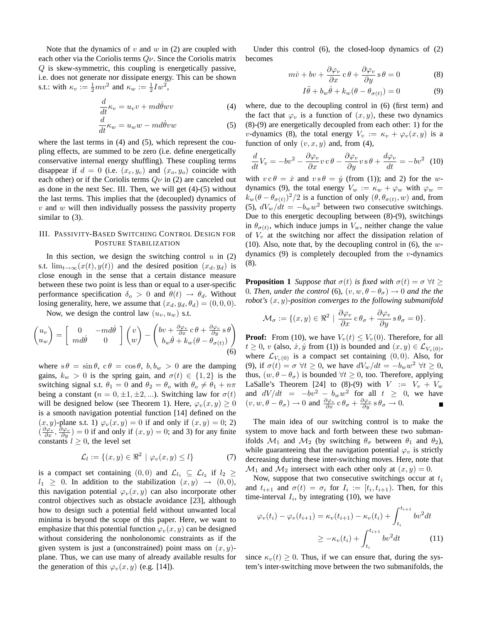Note that the dynamics of  $v$  and  $w$  in (2) are coupled with each other via the Coriolis terms  $Q\nu$ . Since the Coriolis matrix Q is skew-symmetric, this coupling is energetically passive, i.e. does not generate nor dissipate energy. This can be shown s.t.: with  $\kappa_v := \frac{1}{2}mv^2$  and  $\kappa_w := \frac{1}{2}Iw^2$ ,

$$
\frac{d}{dt}\kappa_v = u_v v + m d\dot{\theta} w v \tag{4}
$$

$$
\frac{d}{dt}\kappa_w = u_w w - m d\dot{\theta}vw \tag{5}
$$

where the last terms in (4) and (5), which represent the coupling effects, are summed to be zero (i.e. define energetically conservative internal energy shuffling). These coupling terms disappear if  $d = 0$  (i.e.  $(x_c, y_c)$  and  $(x_o, y_o)$  coincide with each other) or if the Coriolis terms  $Q\nu$  in (2) are canceled out as done in the next Sec. III. Then, we will get (4)-(5) without the last terms. This implies that the (decoupled) dynamics of  $v$  and  $w$  will then individually possess the passivity property similar to (3).

## III. PASSIVITY-BASED SWITCHING CONTROL DESIGN FOR POSTURE STABILIZATION

In this section, we design the switching control  $u$  in (2) s.t.  $\lim_{t\to\infty}(x(t),y(t))$  and the desired position  $(x_d,y_d)$  is close enough in the sense that a certain distance measure between these two point is less than or equal to a user-specific performance specification  $\delta_o > 0$  and  $\theta(t) \rightarrow \theta_d$ . Without losing generality, here, we assume that  $(x_d, y_d, \theta_d) = (0, 0, 0)$ .

Now, we design the control law  $(u_v, u_w)$  s.t.

$$
\begin{pmatrix} u_v \\ u_w \end{pmatrix} = \begin{bmatrix} 0 & -md\dot{\theta} \\ md\dot{\theta} & 0 \end{bmatrix} \begin{pmatrix} v \\ w \end{pmatrix} - \begin{pmatrix} bv + \frac{\partial \varphi_v}{\partial x} c \theta + \frac{\partial \varphi_v}{\partial y} s \theta \\ b_w \dot{\theta} + k_w (\theta - \theta_{\sigma(t)}) \end{pmatrix}
$$
(6)

where  $s \theta = \sin \theta$ ,  $c \theta = \cos \theta$ ,  $b, b_w > 0$  are the damping gains,  $k_w > 0$  is the spring gain, and  $\sigma(t) \in \{1,2\}$  is the switching signal s.t.  $\theta_1 = 0$  and  $\theta_2 = \theta_0$  with  $\theta_0 \neq \theta_1 + n\pi$ being a constant ( $n = 0, \pm 1, \pm 2, \ldots$ ). Switching law for  $\sigma(t)$ will be designed below (see Theorem 1). Here,  $\varphi_v(x,y) \geq 0$ is a smooth navigation potential function [14] defined on the  $(x, y)$ -plane s.t. 1)  $\varphi_v(x, y) = 0$  if and only if  $(x, y) = 0$ ; 2)  $\left(\frac{\partial \varphi_v}{\partial x}, \frac{\partial \varphi_v}{\partial y}\right) = 0$  if and only if  $(x, y) = 0$ ; and 3) for any finite constants  $l \geq 0$ , the level set

$$
\mathcal{L}_l := \{(x, y) \in \Re^2 \mid \varphi_v(x, y) \le l\}
$$
 (7)

is a compact set containing  $(0,0)$  and  $\mathcal{L}_{l_1} \subseteq \mathcal{L}_{l_2}$  if  $l_2 \geq$  $l_1 \geq 0$ . In addition to the stabilization  $(x, y) \rightarrow (0, 0)$ , this navigation potential  $\varphi_v(x,y)$  can also incorporate other control objectives such as obstacle avoidance [23], although how to design such a potential field without unwanted local minima is beyond the scope of this paper. Here, we want to emphasize that this potential function  $\varphi_v(x,y)$  can be designed without considering the nonholonomic constraints as if the given system is just a (unconstrained) point mass on  $(x, y)$ plane. Thus, we can use many of already available results for the generation of this  $\varphi_v(x,y)$  (e.g. [14]).

Under this control (6), the closed-loop dynamics of (2) becomes

$$
m\dot{v} + bv + \frac{\partial \varphi_v}{\partial x} c\theta + \frac{\partial \varphi_v}{\partial y} s\theta = 0
$$
 (8)

$$
I\ddot{\theta} + b_w \dot{\theta} + k_w(\theta - \theta_{\sigma(t)}) = 0 \tag{9}
$$

where, due to the decoupling control in (6) (first term) and the fact that  $\varphi_v$  is a function of  $(x, y)$ , these two dynamics (8)-(9) are energetically decoupled from each other: 1) for the v-dynamics (8), the total energy  $V_v := \kappa_v + \varphi_v(x, y)$  is a function of only  $(v, x, y)$  and, from (4),

$$
\frac{d}{dt}V_v = -bv^2 - \frac{\partial \varphi_v}{\partial x}v\,c\,\theta - \frac{\partial \varphi_v}{\partial y}v\,s\,\theta + \frac{d\varphi_v}{dt} = -bv^2\tag{10}
$$

with  $v c \theta = \dot{x}$  and  $v s \theta = \dot{y}$  (from (1)); and 2) for the wdynamics (9), the total energy  $V_w := \kappa_w + \varphi_w$  with  $\varphi_w =$  $k_w(\theta - \theta_{\sigma(t)})^2/2$  is a function of only  $(\theta, \theta_{\sigma(t)}, w)$  and, from (5),  $dV_w/dt = -b_w w^2$  between two consecutive switchings. Due to this energetic decoupling between (8)-(9), switchings in  $\theta_{\sigma(t)}$ , which induce jumps in  $V_w$ , neither change the value of  $V_v$  at the switching nor affect the dissipation relation of (10). Also, note that, by the decoupling control in  $(6)$ , the wdynamics  $(9)$  is completely decoupled from the *v*-dynamics (8).

**Proposition 1** *Suppose that*  $\sigma(t)$  *is fixed with*  $\sigma(t) = \sigma \ \forall t \geq 1$ 0*. Then, under the control* (6),  $(v, w, \theta - \theta_{\sigma}) \rightarrow 0$  *and the the robot's* (x,y)*-position converges to the following submanifold*

$$
\mathcal{M}_{\sigma} := \{ (x, y) \in \Re^2 \mid \frac{\partial \varphi_v}{\partial x} \, \mathrm{c} \, \theta_{\sigma} + \frac{\partial \varphi_v}{\partial y} \, \mathrm{s} \, \theta_{\sigma} = 0 \}.
$$

**Proof:** From (10), we have  $V_v(t) \leq V_v(0)$ . Therefore, for all  $t \geq 0$ , v (also,  $\dot{x}, \dot{y}$  from (1)) is bounded and  $(x, y) \in \mathcal{L}_{V_v(0)}$ , where  $\mathcal{L}_{V_{\nu}(0)}$  is a compact set containing  $(0, 0)$ . Also, for (9), if  $\sigma(t) = \sigma \ \forall t \geq 0$ , we have  $dV_w/dt = -b_w w^2 \ \forall t \geq 0$ , thus,  $(w, \theta - \theta_{\sigma})$  is bounded  $\forall t \geq 0$ , too. Therefore, applying LaSalle's Theorem [24] to (8)-(9) with  $V := V_v + V_w$ and  $dV/dt = -bv^2 - b_ww^2$  for all  $t \geq 0$ , we have  $(v, w, \theta - \theta_{\sigma}) \to 0$  and  $\frac{\partial \varphi_v}{\partial x} \circ \theta_{\sigma} + \frac{\partial \varphi_v}{\partial y} \circ \theta_{\sigma} \to 0$ .

The main idea of our switching control is to make the system to move back and forth between these two submanifolds  $\mathcal{M}_1$  and  $\mathcal{M}_2$  (by switching  $\theta_{\sigma}$  between  $\theta_1$  and  $\theta_2$ ), while guaranteeing that the navigation potential  $\varphi_v$  is strictly decreasing during these inter-switching moves. Here, note that  $\mathcal{M}_1$  and  $\mathcal{M}_2$  intersect with each other only at  $(x,y) = 0$ .

Now, suppose that two consecutive switchings occur at  $t_i$ and  $t_{i+1}$  and  $\sigma(t) = \sigma_i$  for  $I_i := [t_i, t_{i+1})$ . Then, for this time-interval  $I_i$ , by integrating (10), we have

$$
\varphi_v(t_i) - \varphi_v(t_{i+1}) = \kappa_v(t_{i+1}) - \kappa_v(t_i) + \int_{t_i}^{t_{i+1}} bv^2 dt
$$
  

$$
\geq -\kappa_v(t_i) + \int_{t_i}^{t_{i+1}} bv^2 dt
$$
 (11)

since  $\kappa_v(t) \geq 0$ . Thus, if we can ensure that, during the system's inter-switching move between the two submanifolds, the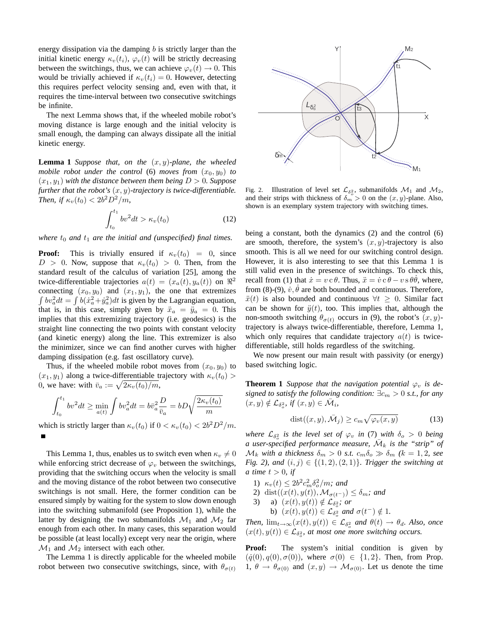energy dissipation via the damping  $b$  is strictly larger than the initial kinetic energy  $\kappa_v(t_i)$ ,  $\varphi_v(t)$  will be strictly decreasing between the switchings, thus, we can achieve  $\varphi_v(t) \to 0$ . This would be trivially achieved if  $\kappa_v(t_i) = 0$ . However, detecting this requires perfect velocity sensing and, even with that, it requires the time-interval between two consecutive switchings be infinite.

The next Lemma shows that, if the wheeled mobile robot's moving distance is large enough and the initial velocity is small enough, the damping can always dissipate all the initial kinetic energy.

**Lemma 1** *Suppose that, on the*  $(x, y)$ *-plane, the wheeled mobile robot under the control* (6) *moves from*  $(x_0, y_0)$  *to*  $(x_1, y_1)$  *with the distance between them being*  $D > 0$ *. Suppose further that the robot's*  $(x, y)$ -trajectory is twice-differentiable. *Then, if*  $\kappa_v(t_0) < 2b^2 D^2/m$ ,

$$
\int_{t_0}^{t_1} b v^2 dt > \kappa_v(t_0)
$$
 (12)

*where*  $t_0$  *and*  $t_1$  *are the initial and (unspecified) final times.* 

**Proof:** This is trivially ensured if  $\kappa_v(t_0) = 0$ , since  $D > 0$ . Now, suppose that  $\kappa_v(t_0) > 0$ . Then, from the standard result of the calculus of variation [25], among the twice-differentiable trajectories  $a(t) = (x_a(t), y_a(t))$  on  $\Re^2$ connecting  $(x_0, y_0)$  and  $(x_1, y_1)$ , the one that extremizes  $\int bv_a^2 dt = \int b(\dot{x}_a^2 + \dot{y}_a^2) dt$  is given by the Lagrangian equation, that is, in this case, simply given by  $\ddot{x}_a = \ddot{y}_a = 0$ . This implies that this extremizing trajectory (i.e. geodesics) is the straight line connecting the two points with constant velocity (and kinetic energy) along the line. This extremizer is also the minimizer, since we can find another curves with higher damping dissipation (e.g. fast oscillatory curve).

Thus, if the wheeled mobile robot moves from  $(x_0, y_0)$  to  $(x_1, y_1)$  along a twice-differentiable trajectory with  $\kappa_v(t_0)$ 0, we have: with  $\bar{v}_a := \sqrt{2\kappa_v(t_0)/m}$ ,

$$
\int_{t_0}^{t_1} b v^2 dt \ge \min_{a(t)} \int b v_a^2 dt = b \overline{v}_a^2 \frac{D}{\overline{v}_a} = bD \sqrt{\frac{2 \kappa_v(t_0)}{m}}
$$

which is strictly larger than  $\kappa_v(t_0)$  if  $0 < \kappa_v(t_0) < 2b^2D^2/m$ .

This Lemma 1, thus, enables us to switch even when  $\kappa_v \neq 0$ while enforcing strict decrease of  $\varphi_v$  between the switchings, providing that the switching occurs when the velocity is small and the moving distance of the robot between two consecutive switchings is not small. Here, the former condition can be ensured simply by waiting for the system to slow down enough into the switching submanifold (see Proposition 1), while the latter by designing the two submanifolds  $\mathcal{M}_1$  and  $\mathcal{M}_2$  far enough from each other. In many cases, this separation would be possible (at least locally) except very near the origin, where  $\mathcal{M}_1$  and  $\mathcal{M}_2$  intersect with each other.

The Lemma 1 is directly applicable for the wheeled mobile robot between two consecutive switchings, since, with  $\theta_{\sigma(t)}$ 



Fig. 2. Illustration of level set  $\mathcal{L}_{\delta_o^2}$ , submanifolds  $\mathcal{M}_1$  and  $\mathcal{M}_2$ , and their strips with thickness of  $\delta_m > 0$  on the  $(x, y)$ -plane. Also, shown is an exemplary system trajectory with switching times.

being a constant, both the dynamics (2) and the control (6) are smooth, therefore, the system's  $(x, y)$ -trajectory is also smooth. This is all we need for our switching control design. However, it is also interesting to see that this Lemma 1 is still valid even in the presence of switchings. To check this, recall from (1) that  $\dot{x} = v c \theta$ . Thus,  $\ddot{x} = \dot{v} c \theta - v s \theta \dot{\theta}$ , where, from (8)-(9),  $\dot{v}$ ,  $\dot{\theta}$  are both bounded and continuous. Therefore,  $\ddot{x}(t)$  is also bounded and continuous  $\forall t \geq 0$ . Similar fact can be shown for  $\ddot{y}(t)$ , too. This implies that, although the non-smooth switching  $\theta_{\sigma(t)}$  occurs in (9), the robot's  $(x, y)$ trajectory is always twice-differentiable, therefore, Lemma 1, which only requires that candidate trajectory  $a(t)$  is twicedifferentiable, still holds regardless of the switching.

We now present our main result with passivity (or energy) based switching logic.

**Theorem 1** *Suppose that the navigation potential*  $\varphi_v$  *is designed to satisfy the following condition:*  $\exists c_m > 0$  *s.t., for any*  $(x, y) \notin \mathcal{L}_{\delta^2}$ , if  $(x, y) \in \overline{\mathcal{M}}_i$ ,

$$
dist((x, y), \bar{M}_j) \ge c_m \sqrt{\varphi_v(x, y)}
$$
(13)

where  $\mathcal{L}_{\delta_o^2}$  *is the level set of*  $\varphi_v$  *in* (7) *with*  $\delta_o > 0$  *being* a user-specified performance measure,  $\bar{\mathcal{M}}_k$  is the "strip" of  $\mathcal{M}_k$  *with a thickness*  $\delta_m > 0$  *s.t.*  $c_m \delta_o \gg \delta_m$  ( $k = 1, 2$ *, see Fig. 2), and*  $(i, j) \in \{(1, 2), (2, 1)\}$ *. Trigger the switching at a* time  $t > 0$ *, if* 

- 1)  $\kappa_v(t) \le 2b^2 c_m^2 \delta_o^2/m$ ; and
- 2) dist( $(x(t),y(t)),\mathcal{M}_{\sigma(t^-)}) \leq \delta_m$ *; and*

3) a) 
$$
(x(t), y(t)) \notin \mathcal{L}_{\delta_o^2}
$$
; or

b) 
$$
(x(t), y(t)) \in \mathcal{L}_{\delta^2}^{\circ}
$$
 and  $\sigma(t^-) \notin 1$ .

*Then,*  $\lim_{t\to\infty} (x(t), y(t)) \in \mathcal{L}_{\delta^2}$  and  $\theta(t) \to \theta_d$ . Also, once  $(x(t), y(t)) \in \mathcal{L}_{\delta^2}$ , at most one more switching occurs.

**Proof:** The system's initial condition is given by  $({\dot q}(0),q(0),\sigma(0))$ , where  $\sigma(0) \in \{1,2\}$ . Then, from Prop. 1,  $\theta \to \theta_{\sigma(0)}$  and  $(x, y) \to \mathcal{M}_{\sigma(0)}$ . Let us denote the time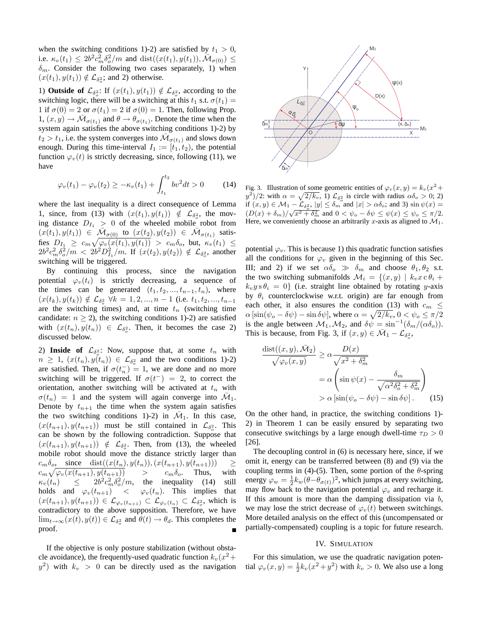when the switching conditions 1)-2) are satisfied by  $t_1 > 0$ , i.e.  $\kappa_v(t_1) \le 2b^2c_m^2\delta_o^2/m$  and  $\text{dist}((x(t_1), y(t_1)), \overline{\mathcal{M}}_{\sigma(0)}) \le$  $\delta_m$ . Consider the following two cases separately, 1) when  $(x(t_1), y(t_1)) \notin \mathcal{L}_{\delta^2}$ ; and 2) otherwise.

1) **Outside of**  $\mathcal{L}_{\delta^2}$ : If  $(x(t_1), y(t_1)) \notin \mathcal{L}_{\delta^2}$ , according to the switching logic, there will be a switching at this  $t_1$  s.t.  $\sigma(t_1)$  = 1 if  $\sigma(0) = 2$  or  $\sigma(t_1) = 2$  if  $\sigma(0) = 1$ . Then, following Prop.  $1, (x, y) \rightarrow \overline{\mathcal{M}}_{\sigma(t_1)}$  and  $\theta \rightarrow \theta_{\sigma(t_1)}$ . Denote the time when the system again satisfies the above switching conditions 1)-2) by  $t_2 > t_1$ , i.e. the system converges into  $\overline{\mathcal{M}}_{\sigma(t_1)}$  and slows down enough. During this time-interval  $I_1 := [t_1, t_2)$ , the potential function  $\varphi_v(t)$  is strictly decreasing, since, following (11), we have

$$
\varphi_v(t_1) - \varphi_v(t_2) \ge -\kappa_v(t_1) + \int_{t_1}^{t_2} bv^2 dt > 0 \tag{14}
$$

where the last inequality is a direct consequence of Lemma 1, since, from (13) with  $(x(t_1), y(t_1)) \notin \mathcal{L}_{\delta_o^2}$ , the moving distance  $D_{I_1} > 0$  of the wheeled mobile robot from  $(x(t_1), y(t_1)) \in \overline{\mathcal{M}}_{\sigma(0)}$  to  $(x(t_2), y(t_2)) \in \overline{\mathcal{M}}_{\sigma(t_1)}$  satisfies  $D_{I_1} \geq c_m \sqrt{\varphi_v(x(t_1),y(t_1))} > c_m \delta_o$ , but,  $\kappa_v(t_1) \leq$  $2b^2c_m^2\delta_o^2/m < 2b^2D_{I_1}^2/m$ . If  $(x(t_2),y(t_2)) \notin \mathcal{L}_{\delta_o^2}$ , another switching will be triggered.

By continuing this process, since the navigation potential  $\varphi_v(t_i)$  is strictly decreasing, a sequence of the times can be generated  $(t_1, t_2, ..., t_{n-1}, t_n)$ , where  $(x(t_k), y(t_k)) \notin \mathcal{L}_{\delta_o^2}$   $\forall k = 1, 2, ..., n-1$  (i.e.  $t_1, t_2, ..., t_{n-1}$ ) are the switching times) and, at time  $t_n$  (switching time candidate:  $n \geq 2$ ), the switching conditions 1)-2) are satisfied with  $(x(t_n), y(t_n)) \in \mathcal{L}_{\delta_n^2}$ . Then, it becomes the case 2) discussed below.

2) **Inside of**  $\mathcal{L}_{\delta^2}$ : Now, suppose that, at some  $t_n$  with  $n \geq 1$ ,  $(x(t_n), y(t_n)) \in \mathcal{L}_{\delta^2}$  and the two conditions 1)-2) are satisfied. Then, if  $\sigma(t_n^-) = 1$ , we are done and no more switching will be triggered. If  $\sigma(t^-) = 2$ , to correct the orientation, another switching will be activated at  $t_n$  with  $\sigma(t_n) = 1$  and the system will again converge into  $\overline{\mathcal{M}}_1$ . Denote by  $t_{n+1}$  the time when the system again satisfies the two switching conditions 1)-2) in  $\overline{\mathcal{M}}_1$ . In this case,  $(x(t_{n+1}), y(t_{n+1}))$  must be still contained in  $\mathcal{L}_{\delta_n^2}$ . This can be shown by the following contradiction. Suppose that  $(x(t_{n+1}), y(t_{n+1})) \notin \mathcal{L}_{\delta^2}$ . Then, from (13), the wheeled mobile robot should move the distance strictly larger than  $c_m \delta_o$ , since dist $((x(t_n), y(t_n)), (x(t_{n+1}), y(t_{n+1}))) \ge$  $c_m \sqrt{\varphi_v(x(t_{n+1}), y(t_{n+1}))}$  >  $c_m \delta_o$ . Thus, with  $\kappa_v(t_n) \leq 2b^2c_m^2\delta_o^2/m$ , the inequality (14) still holds and  $\varphi_v(t_{n+1}) \leq \varphi_v(t_n)$ . This implies that  $(x(t_{n+1}), y(t_{n+1})) \in \mathcal{L}_{\varphi_v(t_{n+1})} \subset \mathcal{L}_{\varphi_v(t_n)} \subset \mathcal{L}_{\delta^2_v}$ , which is contradictory to the above supposition. Therefore, we have  $\lim_{t\to\infty}(x(t),y(t))\in\mathcal{L}_{\delta^2_{\sigma}}$  and  $\theta(t)\to\theta_d$ . This completes the proof.

If the objective is only posture stabilization (without obstacle avoidance), the frequently-used quadratic function  $k_v(x^2 +$  $y^2$ ) with  $k_v > 0$  can be directly used as the navigation



Fig. 3. Illustration of some geometric entities of  $\varphi_v(x, y) = k_v(x^2 + y^2)$  $y^2/2$ : with  $\alpha = \sqrt{2/k_v}$ , 1)  $\mathcal{L}_{\delta_o^2}$  is circle with radius  $\alpha \delta_o > 0$ ; 2) if  $(x, y) \in \mathcal{M}_1 - \mathcal{L}_{\delta_o^2}$ ,  $|y| \le \delta_m$  and  $|x| > \alpha \delta_o$ ; and 3)  $\sin \psi(x) =$  $(D(x) + \delta_m)/\sqrt{x^2 + \delta_m^2}$  and  $0 < \psi_o - \delta \psi \leq \psi(x) \leq \psi_o \leq \pi/2$ . Here, we conveniently choose an arbitrarily x-axis as aligned to  $\mathcal{M}_1$ .

potential  $\varphi_v$ . This is because 1) this quadratic function satisfies all the conditions for  $\varphi_v$  given in the beginning of this Sec. III; and 2) if we set  $\alpha \delta_o \gg \delta_m$  and choose  $\theta_1, \theta_2$  s.t. the two switching submanifolds  $\mathcal{M}_i = \{(x, y) \mid k_v x \in \theta_i +$  $k_v y s \theta_i = 0$  (i.e. straight line obtained by rotating y-axis by  $\theta_i$  counterclockwise w.r.t. origin) are far enough from each other, it also ensures the condition (13) with  $c_m \leq$  $\alpha \left[ \sin(\psi_o - \delta \psi) - \sin \delta \psi \right]$ , where  $\alpha = \sqrt{2/k_v}$ ,  $0 < \psi_o \le \pi/2$ is the angle between  $\mathcal{M}_1, \mathcal{M}_2$ , and  $\delta \psi = \sin^{-1}(\delta_m/(\alpha \delta_o)).$ This is because, from Fig. 3, if  $(x, y) \in \overline{\mathcal{M}}_1 - \mathcal{L}_{\delta^2}$ ,

$$
\frac{\text{dist}((x, y), \bar{\mathcal{M}}_2)}{\sqrt{\varphi_v(x, y)}} \ge \alpha \frac{D(x)}{\sqrt{x^2 + \delta_m^2}}
$$

$$
= \alpha \left( \sin \psi(x) - \frac{\delta_m}{\sqrt{\alpha^2 \delta_o^2 + \delta_m^2}} \right)
$$

$$
> \alpha \left[ \sin(\psi_o - \delta \psi) - \sin \delta \psi \right].
$$
(15)

On the other hand, in practice, the switching conditions 1)- 2) in Theorem 1 can be easily ensured by separating two consecutive switchings by a large enough dwell-time  $\tau_D > 0$ [26].

The decoupling control in (6) is necessary here, since, if we omit it, energy can be transferred between (8) and (9) via the coupling terms in (4)-(5). Then, some portion of the  $\theta$ -spring energy  $\varphi_w = \frac{1}{2} k_w (\theta - \theta_{\sigma(t)})^2$ , which jumps at every switching, may flow back to the navigation potential  $\varphi_v$  and recharge it. If this amount is more than the damping dissipation via  $b$ , we may lose the strict decrease of  $\varphi_v(t)$  between switchings. More detailed analysis on the effect of this (uncompensated or partially-compensated) coupling is a topic for future research.

## IV. SIMULATION

For this simulation, we use the quadratic navigation potential  $\varphi_v(x, y) = \frac{1}{2} k_v(x^2 + y^2)$  with  $k_v > 0$ . We also use a long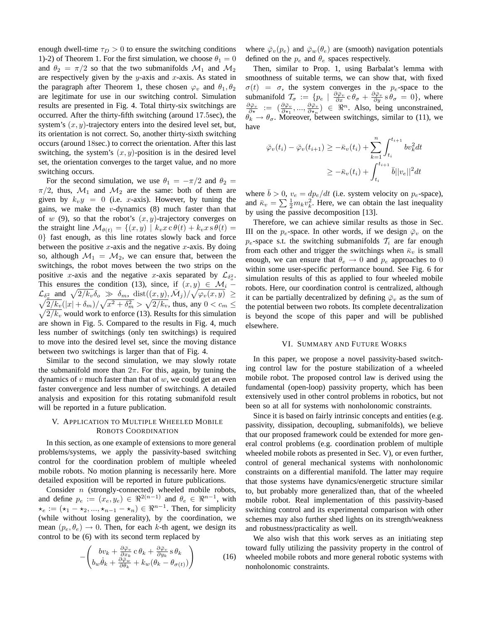enough dwell-time  $\tau_D > 0$  to ensure the switching conditions 1)-2) of Theorem 1. For the first simulation, we choose  $\theta_1 = 0$ and  $\theta_2 = \pi/2$  so that the two submanifolds  $\mathcal{M}_1$  and  $\mathcal{M}_2$ are respectively given by the  $y$ -axis and  $x$ -axis. As stated in the paragraph after Theorem 1, these chosen  $\varphi_v$  and  $\theta_1, \theta_2$ are legitimate for use in our switching control. Simulation results are presented in Fig. 4. Total thirty-six switchings are occurred. After the thirty-fifth switching (around 17.5sec), the system's  $(x, y)$ -trajectory enters into the desired level set, but, its orientation is not correct. So, another thirty-sixth switching occurs (around 18sec.) to correct the orientation. After this last switching, the system's  $(x, y)$ -position is in the desired level set, the orientation converges to the target value, and no more switching occurs.

For the second simulation, we use  $\theta_1 = -\pi/2$  and  $\theta_2 =$  $\pi/2$ , thus,  $\mathcal{M}_1$  and  $\mathcal{M}_2$  are the same: both of them are given by  $k_v y = 0$  (i.e. x-axis). However, by tuning the gains, we make the *v*-dynamics  $(8)$  much faster than that of w (9), so that the robot's  $(x, y)$ -trajectory converges on the straight line  $\mathcal{M}_{\theta(t)} = \{(x, y) \mid k_v x \, \text{c} \, \theta(t) + k_v x \, \text{s} \, \theta(t) =$ 0} fast enough, as this line rotates slowly back and force between the positive  $x$ -axis and the negative  $x$ -axis. By doing so, although  $\mathcal{M}_1 = \mathcal{M}_2$ , we can ensure that, between the switchings, the robot moves between the two strips on the positive x-axis and the negative x-axis separated by  $\mathcal{L}_{\delta^2}$ . This ensures the condition (13), since, if  $(x, y) \in \mathcal{M}_i$  –  $\mathcal{L}_{\delta^2_\sigma}$  and  $\sqrt{2/k_v} \delta_\sigma \gg \delta_m$ , dist $((x,y), \bar{\mathcal{M}}_j)/\sqrt{\varphi_v(x,y)} \geq$  $\sqrt{2/k_v}(|x| + \delta_m)/\sqrt{x^2 + \delta_m^2} > \sqrt{2/k_v}$ , thus, any  $0 < c_m \le$  $\sqrt{2/k_v}$  would work to enforce (13). Results for this simulation are shown in Fig. 5. Compared to the results in Fig. 4, much less number of switchings (only ten switchings) is required to move into the desired level set, since the moving distance between two switchings is larger than that of Fig. 4.

Similar to the second simulation, we may slowly rotate the submanifold more than  $2\pi$ . For this, again, by tuning the dynamics of  $v$  much faster than that of  $w$ , we could get an even faster convergence and less number of switchings. A detailed analysis and exposition for this rotating submanifold result will be reported in a future publication.

# V. APPLICATION TO MULTIPLE WHEELED MOBILE ROBOTS COORDINATION

In this section, as one example of extensions to more general problems/systems, we apply the passivity-based switching control for the coordination problem of multiple wheeled mobile robots. No motion planning is necessarily here. More detailed exposition will be reported in future publications.

Consider n (strongly-connected) wheeled mobile robots, and define  $p_e := (x_e, y_e) \in \Re^{2(n-1)}$  and  $\theta_e \in \Re^{n-1}$ , with  $\star_e := (\star_1 - \star_2, ..., \star_{n-1} - \star_n) \in \Re^{n-1}$ . Then, for simplicity (while without losing generality), by the coordination, we mean  $(p_e, \theta_e) \rightarrow 0$ . Then, for each k-th agent, we design its control to be (6) with its second term replaced by

$$
-\left(\begin{array}{c}bv_k + \frac{\partial \bar{\varphi}_v}{\partial x_k}c\,\theta_k + \frac{\partial \bar{\varphi}_v}{\partial y_k}s\,\theta_k\\b_w\,\dot{\theta}_k + \frac{\partial \bar{\varphi}_w}{\partial \theta_k} + k_w(\theta_k - \theta_{\sigma(t)})\end{array}\right) \tag{16}
$$

where  $\bar{\varphi}_v(p_e)$  and  $\bar{\varphi}_w(\theta_e)$  are (smooth) navigation potentials defined on the  $p_e$  and  $\theta_e$  spaces respectively.

Then, similar to Prop. 1, using Barbalat's lemma with smoothness of suitable terms, we can show that, with fixed  $\sigma(t) = \sigma$ , the system converges in the p<sub>e</sub>-space to the submanifold  $\mathcal{T}_{\sigma} := \{p_e \mid \frac{\partial \overline{\varphi}_v}{\partial x} \, \mathbf{c} \, \theta_{\sigma} + \frac{\partial \overline{\varphi}_v}{\partial y} \, \mathbf{s} \, \theta_{\sigma} = 0\}$ , where  $\frac{\partial \overline{\varphi}_v}{\partial \star} := (\frac{\partial \overline{\varphi}_v}{\partial x_1}, ..., \frac{\partial \overline{\varphi}_v}{\partial x_n}) \in \mathbb{R}^n$ . Also, being unconstrained,  $\theta_k \rightarrow \theta_{\sigma}$ . Moreover, between switchings, similar to (11), we have

$$
\bar{\varphi}_v(t_i) - \bar{\varphi}_v(t_{i+1}) \ge -\bar{\kappa}_v(t_i) + \sum_{k=1}^n \int_{t_i}^{t_{i+1}} b v_k^2 dt
$$
  

$$
\ge -\bar{\kappa}_v(t_i) + \int_{t_i}^{t_{i+1}} \bar{b} ||v_e||^2 dt
$$

where  $\bar{b} > 0$ ,  $v_e = dp_e/dt$  (i.e. system velocity on  $p_e$ -space), and  $\bar{\kappa}_v = \sum \frac{1}{2} m_k v_k^2$ . Here, we can obtain the last inequality by using the passive decomposition [13].

Therefore, we can achieve similar results as those in Sec. III on the  $p_e$ -space. In other words, if we design  $\bar{\varphi}_v$  on the  $p_e$ -space s.t. the switching submanifolds  $T_i$  are far enough from each other and trigger the switchings when  $\bar{\kappa}_v$  is small enough, we can ensure that  $\theta_e \rightarrow 0$  and  $p_e$  approaches to 0 within some user-specific performance bound. See Fig. 6 for simulation results of this as applied to four wheeled mobile robots. Here, our coordination control is centralized, although it can be partially decentralized by defining  $\bar{\varphi}_v$  as the sum of the potential between two robots. Its complete decentralization is beyond the scope of this paper and will be published elsewhere.

### VI. SUMMARY AND FUTURE WORKS

In this paper, we propose a novel passivity-based switching control law for the posture stabilization of a wheeled mobile robot. The proposed control law is derived using the fundamental (open-loop) passivity property, which has been extensively used in other control problems in robotics, but not been so at all for systems with nonholonomic constraints.

Since it is based on fairly intrinsic concepts and entities (e.g. passivity, dissipation, decoupling, submanifolds), we believe that our proposed framework could be extended for more general control problems (e.g. coordination problem of multiple wheeled mobile robots as presented in Sec. V), or even further, control of general mechanical systems with nonholonomic constraints on a differential manifold. The latter may require that those systems have dynamics/energetic structure similar to, but probably more generalized than, that of the wheeled mobile robot. Real implementation of this passivity-based switching control and its experimental comparison with other schemes may also further shed lights on its strength/weakness and robustness/practicality as well.

We also wish that this work serves as an initiating step toward fully utilizing the passivity property in the control of wheeled mobile robots and more general robotic systems with nonholonomic constraints.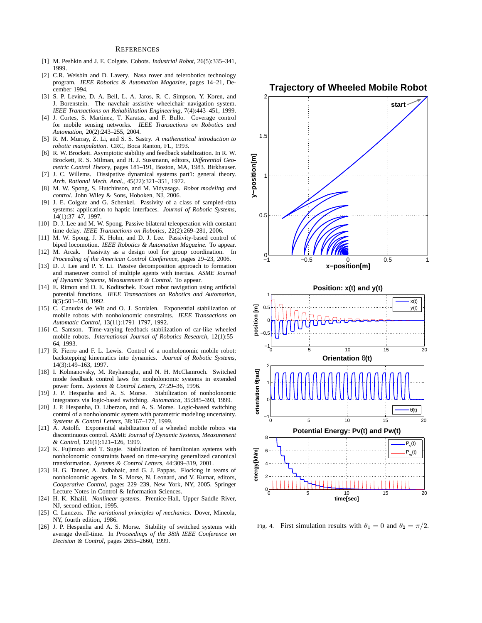#### REFERENCES

- [1] M. Peshkin and J. E. Colgate. Cobots. *Industrial Robot*, 26(5):335–341, 1999.
- [2] C.R. Weisbin and D. Lavery. Nasa rover and telerobotics technology program. *IEEE Robotics & Automation Magazine*, pages 14–21, December 1994.
- [3] S. P. Levine, D. A. Bell, L. A. Jaros, R. C. Simpson, Y. Koren, and J. Borenstein. The navchair assistive wheelchair navigation system. *IEEE Transactions on Rehabilitation Engineering*, 7(4):443–451, 1999.
- [4] J. Cortes, S. Martinez, T. Karatas, and F. Bullo. Coverage control for mobile sensing networks. *IEEE Transactions on Robotics and Automation*, 20(2):243–255, 2004.
- [5] R. M. Murray, Z. Li, and S. S. Sastry. *A mathematical introduction to robotic manipulation*. CRC, Boca Ranton, FL, 1993.
- [6] R. W. Brockett. Asymptotic stability and feedback stabilization. In R. W. Brockett, R. S. Milman, and H. J. Sussmann, editors, *Differential Geometric Control Theory*, pages 181–191, Boston, MA, 1983. Birkhauser.
- [7] J. C. Willems. Dissipative dynamical systems part1: general theory. *Arch. Rational Mech. Anal.*, 45(22):321–351, 1972.
- [8] M. W. Spong, S. Hutchinson, and M. Vidyasaga. *Robot modeling and control*. John Wiley & Sons, Hoboken, NJ, 2006.
- [9] J. E. Colgate and G. Schenkel. Passivity of a class of sampled-data systems: application to haptic interfaces. *Journal of Robotic Systems*, 14(1):37–47, 1997.
- [10] D. J. Lee and M. W. Spong. Passive bilateral teleoperation with constant time delay. *IEEE Transactions on Robotics*, 22(2):269–281, 2006.
- [11] M. W. Spong, J. K. Holm, and D. J. Lee. Passivity-based control of biped locomotion. *IEEE Robotics & Automation Magazine*. To appear.
- [12] M. Arcak. Passivity as a design tool for group coordination. In *Proceeding of the American Control Conference*, pages 29–23, 2006.
- [13] D. J. Lee and P. Y. Li. Passive decomposition approach to formation and maneuver control of multiple agents with inertias. *ASME Journal of Dynamic Systems, Measurement & Control*. To appear.
- [14] E. Rimon and D. E. Koditschek. Exact robot navigation using artificial potential functions. *IEEE Transactions on Robotics and Automation*, 8(5):501–518, 1992.
- [15] C. Canudas de Wit and O. J. Sordalen. Exponential stabilization of mobile robots with nonholonomic constraints. *IEEE Transactions on Automatic Control*, 13(11):1791–1797, 1992.
- [16] C. Samson. Time-varying feedback stabilization of car-like wheeled mobile robots. *International Journal of Robotics Research*, 12(1):55– 64, 1993.
- [17] R. Fierro and F. L. Lewis. Control of a nonholonomic mobile robot: backstepping kinematics into dynamics. *Journal of Robotic Systems*, 14(3):149–163, 1997.
- [18] I. Kolmanovsky, M. Reyhanoglu, and N. H. McClamroch. Switched mode feedback control laws for nonholonomic systems in extended power form. *Systems & Control Letters*, 27:29–36, 1996.
- [19] J. P. Hespanha and A. S. Morse. Stabilization of nonholonomic integrators via logic-based switching. *Automatica*, 35:385–393, 1999.
- [20] J. P. Hespanha, D. Liberzon, and A. S. Morse. Logic-based switching control of a nonholonomic system with parametric modeling uncertainty. *Systems & Control Letters*, 38:167–177, 1999.
- [21] A. Astolfi. Exponential stabilization of a wheeled mobile robots via discontinuous control. *ASME Journal of Dynamic Systems, Measurement & Control*, 121(1):121–126, 1999.
- [22] K. Fujimoto and T. Sugie. Stabilization of hamiltonian systems with nonholonomic constraints based on time-varying generalized canonical transformation. *Systems & Control Letters*, 44:309–319, 2001.
- [23] H. G. Tanner, A. Jadbabaic, and G. J. Pappas. Flocking in teams of nonholonomic agents. In S. Morse, N. Leonard, and V. Kumar, editors, *Cooperative Control*, pages 229–239, New York, NY, 2005. Springer Lecture Notes in Control & Information Sciences.
- [24] H. K. Khalil. *Nonlinear systems*. Prentice-Hall, Upper Saddle River, NJ, second edition, 1995.
- [25] C. Lanczos. *The variational principles of mechanics*. Dover, Mineola, NY, fourth edition, 1986.
- [26] J. P. Hespanha and A. S. Morse. Stability of switched systems with average dwell-time. In *Proceedings of the 38th IEEE Conference on Decision & Control*, pages 2655–2660, 1999.



Fig. 4. First simulation results with  $\theta_1 = 0$  and  $\theta_2 = \pi/2$ .